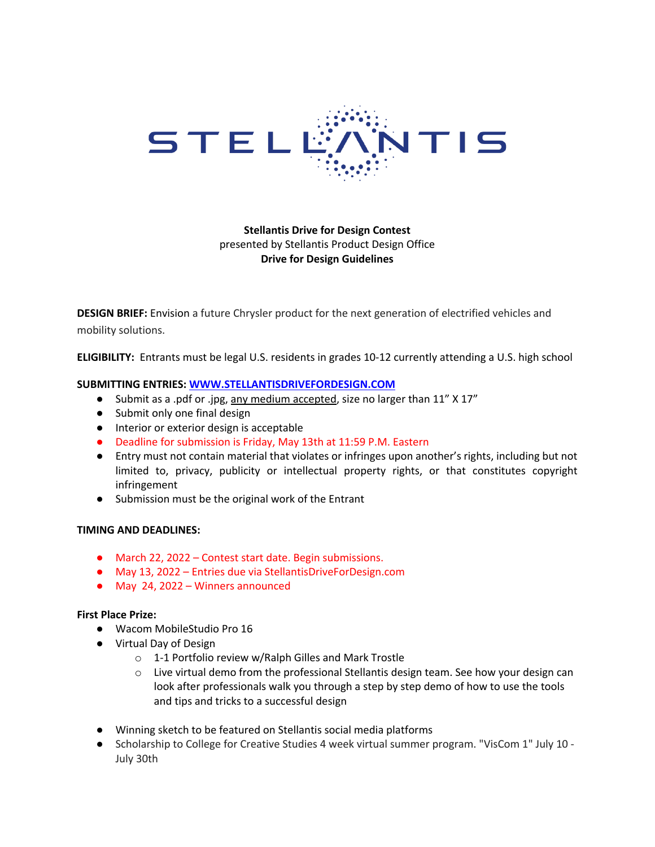

**Stellantis Drive for Design Contest**  presented by Stellantis Product Design Office **Drive for Design Guidelines**

**DESIGN BRIEF:** Envision a future Chrysler product for the next generation of electrified vehicles and mobility solutions.

**ELIGIBILITY:** Entrants must be legal U.S. residents in grades 10-12 currently attending a U.S. high school

#### **SUBMITTING ENTRIES: WWW.STELLANTISDRIVEFORDESIGN.COM**

- Submit as a .pdf or .jpg, any medium accepted, size no larger than 11" X 17"
- Submit only one final design
- Interior or exterior design is acceptable
- Deadline for submission is Friday, May 13th at 11:59 P.M. Eastern
- Entry must not contain material that violates or infringes upon another's rights, including but not limited to, privacy, publicity or intellectual property rights, or that constitutes copyright infringement
- Submission must be the original work of the Entrant

#### **TIMING AND DEADLINES:**

- March 22, 2022 Contest start date. Begin submissions.
- May 13, 2022 Entries due via StellantisDriveForDesign.com
- May 24, 2022 Winners announced

#### **First Place Prize:**

- Wacom MobileStudio Pro 16
- Virtual Day of Design
	- o 1-1 Portfolio review w/Ralph Gilles and Mark Trostle
	- $\circ$  Live virtual demo from the professional Stellantis design team. See how your design can look after professionals walk you through a step by step demo of how to use the tools and tips and tricks to a successful design
- Winning sketch to be featured on Stellantis social media platforms
- Scholarship to College for Creative Studies 4 week virtual summer program. "VisCom 1" July 10 -July 30th